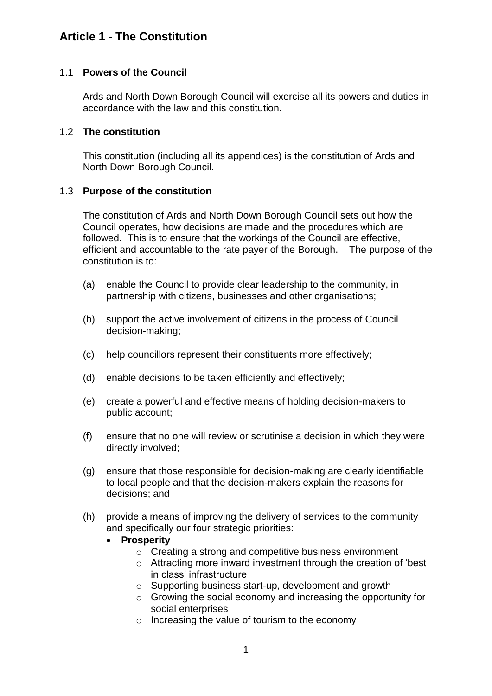# **Article 1 - The Constitution**

### 1.1 **Powers of the Council**

Ards and North Down Borough Council will exercise all its powers and duties in accordance with the law and this constitution.

#### 1.2 **The constitution**

This constitution (including all its appendices) is the constitution of Ards and North Down Borough Council.

### 1.3 **Purpose of the constitution**

The constitution of Ards and North Down Borough Council sets out how the Council operates, how decisions are made and the procedures which are followed. This is to ensure that the workings of the Council are effective, efficient and accountable to the rate payer of the Borough. The purpose of the constitution is to:

- (a) enable the Council to provide clear leadership to the community, in partnership with citizens, businesses and other organisations;
- (b) support the active involvement of citizens in the process of Council decision-making;
- (c) help councillors represent their constituents more effectively;
- (d) enable decisions to be taken efficiently and effectively;
- (e) create a powerful and effective means of holding decision-makers to public account;
- (f) ensure that no one will review or scrutinise a decision in which they were directly involved;
- (g) ensure that those responsible for decision-making are clearly identifiable to local people and that the decision-makers explain the reasons for decisions; and
- (h) provide a means of improving the delivery of services to the community and specifically our four strategic priorities:
	- **Prosperity**
		- o Creating a strong and competitive business environment
		- o Attracting more inward investment through the creation of 'best in class' infrastructure
		- o Supporting business start-up, development and growth
		- o Growing the social economy and increasing the opportunity for social enterprises
		- o Increasing the value of tourism to the economy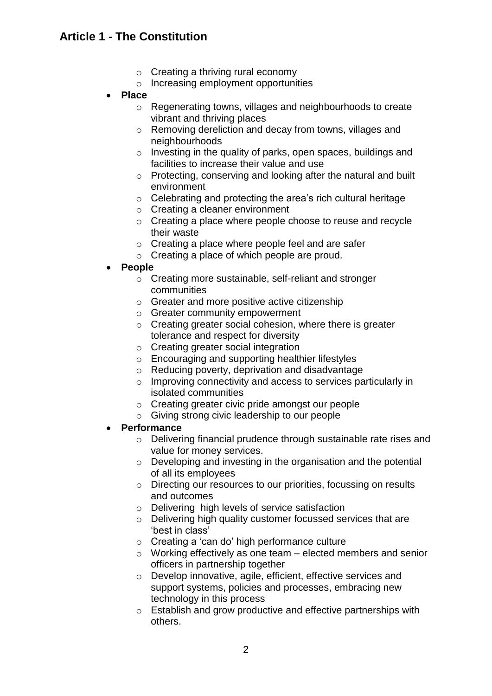# **Article 1 - The Constitution**

- $\circ$  Creating a thriving rural economy
- o Increasing employment opportunities
- **Place**
	- o Regenerating towns, villages and neighbourhoods to create vibrant and thriving places
	- o Removing dereliction and decay from towns, villages and neighbourhoods
	- $\circ$  Investing in the quality of parks, open spaces, buildings and facilities to increase their value and use
	- o Protecting, conserving and looking after the natural and built environment
	- o Celebrating and protecting the area's rich cultural heritage
	- o Creating a cleaner environment
	- o Creating a place where people choose to reuse and recycle their waste
	- o Creating a place where people feel and are safer
	- o Creating a place of which people are proud.
- **People**
	- o Creating more sustainable, self-reliant and stronger communities
	- o Greater and more positive active citizenship
	- o Greater community empowerment
	- o Creating greater social cohesion, where there is greater tolerance and respect for diversity
	- o Creating greater social integration
	- o Encouraging and supporting healthier lifestyles
	- o Reducing poverty, deprivation and disadvantage
	- o Improving connectivity and access to services particularly in isolated communities
	- o Creating greater civic pride amongst our people
	- o Giving strong civic leadership to our people
- **Performance**
	- o Delivering financial prudence through sustainable rate rises and value for money services.
	- o Developing and investing in the organisation and the potential of all its employees
	- o Directing our resources to our priorities, focussing on results and outcomes
	- o Delivering high levels of service satisfaction
	- o Delivering high quality customer focussed services that are 'best in class'
	- o Creating a 'can do' high performance culture
	- $\circ$  Working effectively as one team elected members and senior officers in partnership together
	- o Develop innovative, agile, efficient, effective services and support systems, policies and processes, embracing new technology in this process
	- o Establish and grow productive and effective partnerships with others.